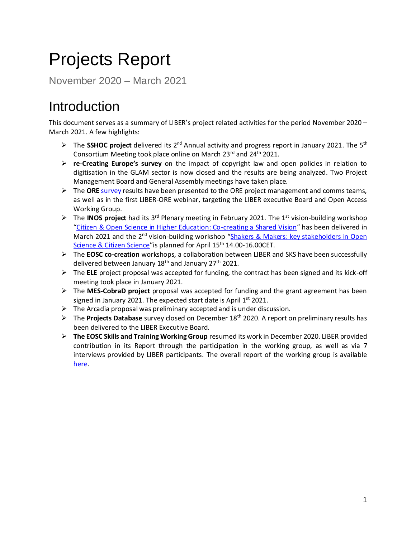# Projects Report

November 2020 – March 2021

## Introduction

This document serves as a summary of LIBER's project related activities for the period November 2020 – March 2021. A few highlights:

- ➢ The **SSHOC project** delivered its 2nd Annual activity and progress report in January 2021. The 5th Consortium Meeting took place online on March 23rd and 24<sup>th</sup> 2021.
- ➢ **re-Creating Europe's survey** on the impact of copyright law and open policies in relation to digitisation in the GLAM sector is now closed and the results are being analyzed. Two Project Management Board and General Assembly meetings have taken place.
- ➢ The **ORE** [survey](https://libereurope.eu/blog/2020/09/09/survey-on-open-research-in-europe-have-you-voiced-your-opinion-yet/) results have been presented to the ORE project management and comms teams, as well as in the first LIBER-ORE webinar, targeting the LIBER executive Board and Open Access Working Group.
- ➢ The **INOS project** had its 3rd Plenary meeting in February 2021. The 1st vision-building workshop "[Citizen & Open Science in Higher Education: Co-creating a Shared Vision](https://inos-project.eu/2021/03/01/citizen-open-science-in-higher-education-co-creating-a-shared-vision/)" has been delivered in March 2021 and the 2<sup>nd</sup> vision-building workshop "Shakers & Makers: key stakeholders in Open [Science & Citizen Science](https://inos-project.eu/2021/03/18/shakers-makers-key-stakeholders-in-open-science-citizen-science/)" is planned for April 15<sup>th</sup> 14.00-16.00CET.
- ➢ The **EOSC co-creation** workshops, a collaboration between LIBER and SKS have been successfully delivered between January  $18<sup>th</sup>$  and January  $27<sup>th</sup>$  2021.
- ➢ The **ELE** project proposal was accepted for funding, the contract has been signed and its kick-off meeting took place in January 2021.
- ➢ The **MES-CobraD project** proposal was accepted for funding and the grant agreement has been signed in January 2021. The expected start date is April  $1<sup>st</sup>$  2021.
- ➢ The Arcadia proposal was preliminary accepted and is under discussion.
- ➢ The **Projects Database** survey closed on December 18th 2020. A report on preliminary results has been delivered to the LIBER Executive Board.
- ➢ **The EOSC Skills and Training Working Group** resumed its work in December 2020. LIBER provided contribution in its Report through the participation in the working group, as well as via 7 interviews provided by LIBER participants. The overall report of the working group is available [here.](https://op.europa.eu/en/publication-detail/-/publication/af7f7807-6ce1-11eb-aeb5-01aa75ed71a1/language-en/format-PDF/source-190694287)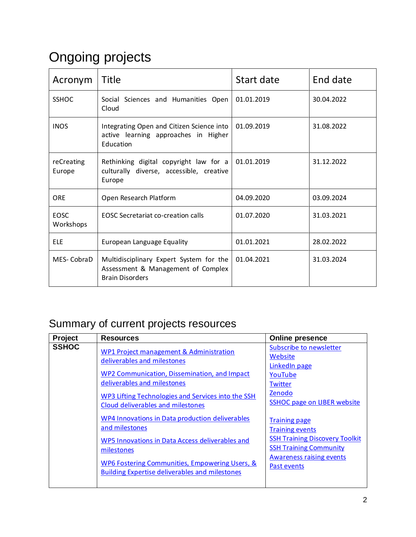## Ongoing projects

| Acronym                  | Title                                                                                                   | Start date | End date   |
|--------------------------|---------------------------------------------------------------------------------------------------------|------------|------------|
| <b>SSHOC</b>             | Social Sciences and Humanities Open<br>Cloud                                                            | 01.01.2019 | 30.04.2022 |
| <b>INOS</b>              | Integrating Open and Citizen Science into<br>active learning approaches in Higher<br>Education          | 01.09.2019 | 31.08.2022 |
| reCreating<br>Europe     | Rethinking digital copyright law for a<br>culturally diverse, accessible, creative<br>Europe            | 01.01.2019 | 31.12.2022 |
| <b>ORE</b>               | Open Research Platform                                                                                  | 04.09.2020 | 03.09.2024 |
| <b>EOSC</b><br>Workshops | <b>EOSC Secretariat co-creation calls</b>                                                               | 01.07.2020 | 31.03.2021 |
| <b>ELE</b>               | European Language Equality                                                                              | 01.01.2021 | 28.02.2022 |
| MES-CobraD               | Multidisciplinary Expert System for the<br>Assessment & Management of Complex<br><b>Brain Disorders</b> | 01.04.2021 | 31.03.2024 |

### Summary of current projects resources

| Project      | <b>Resources</b>                                                                                                                                                                                                                                            | <b>Online presence</b>                                                                                                                                                     |
|--------------|-------------------------------------------------------------------------------------------------------------------------------------------------------------------------------------------------------------------------------------------------------------|----------------------------------------------------------------------------------------------------------------------------------------------------------------------------|
| <b>SSHOC</b> | <b>WP1 Project management &amp; Administration</b><br>deliverables and milestones<br>WP2 Communication, Dissemination, and Impact<br>deliverables and milestones<br>WP3 Lifting Technologies and Services into the SSH<br>Cloud deliverables and milestones | <b>Subscribe to newsletter</b><br>Website<br>LinkedIn page<br>YouTube<br><b>Twitter</b><br>Zenodo<br><b>SSHOC page on LIBER website</b>                                    |
|              | WP4 Innovations in Data production deliverables<br>and milestones<br>WP5 Innovations in Data Access deliverables and<br>milestones<br>WP6 Fostering Communities, Empowering Users, &<br><b>Building Expertise deliverables and milestones</b>               | <b>Training page</b><br><b>Training events</b><br><b>SSH Training Discovery Toolkit</b><br><b>SSH Training Community</b><br><b>Awareness raising events</b><br>Past events |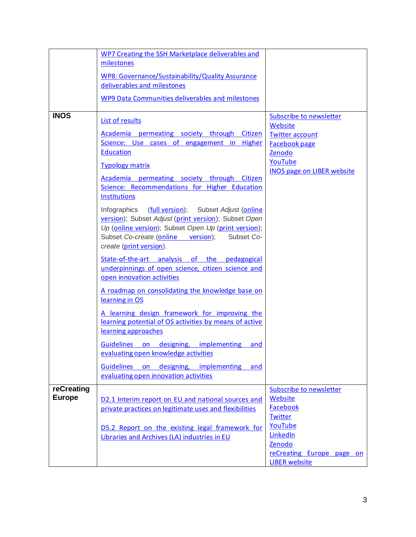|               | WP7 Creating the SSH Marketplace deliverables and                                                                                |                                          |
|---------------|----------------------------------------------------------------------------------------------------------------------------------|------------------------------------------|
|               | milestones                                                                                                                       |                                          |
|               | WP8: Governance/Sustainability/Quality Assurance<br>deliverables and milestones                                                  |                                          |
|               |                                                                                                                                  |                                          |
|               | WP9 Data Communities deliverables and milestones                                                                                 |                                          |
| <b>INOS</b>   | <b>List of results</b>                                                                                                           | Subscribe to newsletter                  |
|               | Academia permeating society through Citizen                                                                                      | <b>Website</b><br><b>Twitter account</b> |
|               | Science: Use cases of engagement in Higher                                                                                       | <b>Facebook page</b>                     |
|               | <b>Education</b>                                                                                                                 | Zenodo                                   |
|               | <b>Typology matrix</b>                                                                                                           | YouTube                                  |
|               |                                                                                                                                  | <b>INOS page on LIBER website</b>        |
|               | Academia permeating society through Citizen<br>Science: Recommendations for Higher Education                                     |                                          |
|               | <b>Institutions</b>                                                                                                              |                                          |
|               | Infographics (full version); Subset Adjust (online                                                                               |                                          |
|               | version); Subset Adjust (print version); Subset Open<br>Up (online version); Subset Open Up (print version);                     |                                          |
|               | Subset Co-create (online version);<br>Subset Co-<br>create (print version).                                                      |                                          |
|               | State-of-the-art analysis of the pedagogical<br>underpinnings of open science, citizen science and<br>open innovation activities |                                          |
|               | A roadmap on consolidating the knowledge base on<br>learning in OS                                                               |                                          |
|               | A learning design framework for improving the<br>learning potential of OS activities by means of active<br>learning approaches   |                                          |
|               | Guidelines on designing, implementing and<br>evaluating open knowledge activities                                                |                                          |
|               | Guidelines on<br>designing, implementing<br>and<br>evaluating open innovation activities                                         |                                          |
| reCreating    |                                                                                                                                  | Subscribe to newsletter                  |
| <b>Europe</b> | D2.1 Interim report on EU and national sources and                                                                               | Website                                  |
|               | private practices on legitimate uses and flexibilities                                                                           | Facebook                                 |
|               |                                                                                                                                  | <b>Twitter</b><br>YouTube                |
|               | D5.2 Report on the existing legal framework for                                                                                  | LinkedIn                                 |
|               | Libraries and Archives (LA) industries in EU                                                                                     | Zenodo                                   |
|               |                                                                                                                                  | reCreating Europe page on                |
|               |                                                                                                                                  | <b>LIBER</b> website                     |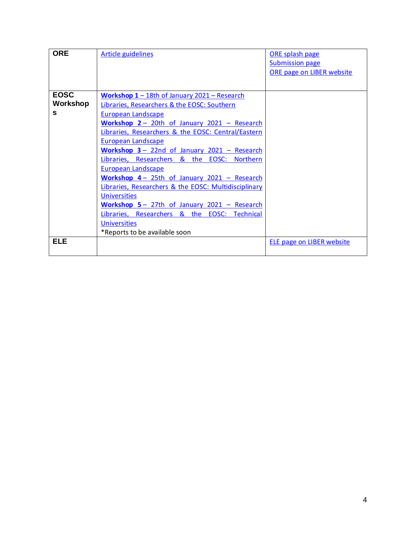| <b>ORE</b>  | <b>Article guidelines</b>                                       | ORE splash page                  |
|-------------|-----------------------------------------------------------------|----------------------------------|
|             |                                                                 | <b>Submission page</b>           |
|             |                                                                 | ORE page on LIBER website        |
|             |                                                                 |                                  |
| <b>EOSC</b> | Workshop 1 - 18th of January 2021 - Research                    |                                  |
| Workshop    | Libraries, Researchers & the EOSC: Southern                     |                                  |
| s           | <b>European Landscape</b>                                       |                                  |
|             | Workshop $2 - 20$ th of January $2021 -$ Research               |                                  |
|             | Libraries, Researchers & the EOSC: Central/Eastern              |                                  |
|             | European Landscape                                              |                                  |
|             | Workshop 3 - 22nd of January 2021 - Research                    |                                  |
|             | Libraries, Researchers & the EOSC:<br><b>Northern</b>           |                                  |
|             | <b>European Landscape</b>                                       |                                  |
|             | Workshop 4 - 25th of January 2021 - Research                    |                                  |
|             | Libraries, Researchers & the EOSC: Multidisciplinary            |                                  |
|             | <b>Universities</b>                                             |                                  |
|             | Workshop 5 - 27th of January 2021 - Research                    |                                  |
|             | &<br>EOSC:<br>Libraries, Researchers<br>the<br><b>Technical</b> |                                  |
|             | <b>Universities</b>                                             |                                  |
|             | *Reports to be available soon                                   |                                  |
| <b>ELE</b>  |                                                                 | <b>ELE page on LIBER website</b> |
|             |                                                                 |                                  |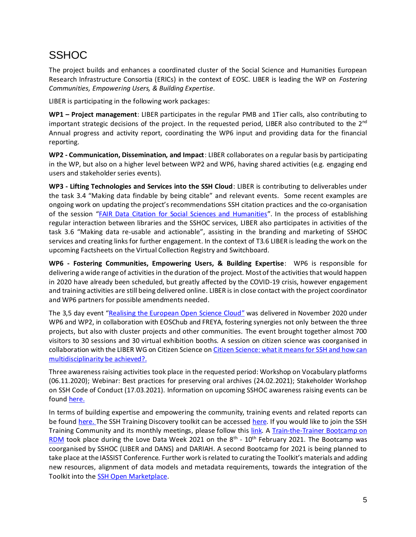#### **SSHOC**

The project builds and enhances a coordinated cluster of the Social Science and Humanities European Research Infrastructure Consortia (ERICs) in the context of EOSC. LIBER is leading the WP on *Fostering Communities, Empowering Users, & Building Expertise*.

LIBER is participating in the following work packages:

**WP1 – Project management**: LIBER participates in the regular PMB and 1Tier calls, also contributing to important strategic decisions of the project. In the requested period, LIBER also contributed to the  $2<sup>nd</sup>$ Annual progress and activity report, coordinating the WP6 input and providing data for the financial reporting.

**WP2 - Communication, Dissemination, and Impact**: LIBER collaborates on a regular basis by participating in the WP, but also on a higher level between WP2 and WP6, having shared activities (e.g. engaging end users and stakeholder series events).

**WP3 - Lifting Technologies and Services into the SSH Cloud**: LIBER is contributing to deliverables under the task 3.4 "Making data findable by being citable" and relevant events. Some recent examples are ongoing work on updating the project's recommendations SSH citation practices and the co-organisation of the session "[FAIR Data Citation for Social Sciences and Humanities](https://www.eosc-hub.eu/events/realising-european-open-science-cloud/fair-data-citation-ssh)". In the process of establishing regular interaction between libraries and the SSHOC services, LIBER also participates in activities of the task 3.6 "Making data re-usable and actionable", assisting in the branding and marketing of SSHOC services and creating links for further engagement. In the context of T3.6 LIBER is leading the work on the upcoming Factsheets on the Virtual Collection Registry and Switchboard.

**WP6 - Fostering Communities, Empowering Users, & Building Expertise**: WP6 is responsible for delivering a wide range of activities in the duration of the project. Most of the activities that would happen in 2020 have already been scheduled, but greatly affected by the COVID-19 crisis, however engagement and training activities are still being delivered online. LIBER is in close contact with the project coordinator and WP6 partners for possible amendments needed.

The 3,5 day event "[Realising the European Open Science Cloud](https://www.sshopencloud.eu/news/realising-eosc-virtual-conference-difference)" was delivered in November 2020 under WP6 and WP2, in collaboration with EOSChub and FREYA, fostering synergies not only between the three projects, but also with cluster projects and other communities. The event brought together almost 700 visitors to 30 sessions and 30 virtual exhibition booths. A session on citizen science was coorganised in collaboration with the LIBER WG on Citizen Science on Citizen Science: what it means for SSH and how can [multidisciplinarity be achieved?.](https://www.eosc-hub.eu/events/realising-european-open-science-cloud/citizen-science-what-it-means-ssh-and-how-can-multidisciplinarity-be-achieved)

Three awareness raising activities took place in the requested period: Workshop on Vocabulary platforms (06.11.2020); Webinar: Best practices for preserving oral archives (24.02.2021); Stakeholder Workshop on SSH Code of Conduct (17.03.2021). Information on upcoming SSHOC awareness raising events can be found [here.](https://www.sshopencloud.eu/awareness-raising-events)

In terms of building expertise and empowering the community, training events and related reports can be found [here.](https://training-toolkit.sshopencloud.eu/entities?search=&f%5B0%5D=collections%3ATraining%20Toolkit) The SSH Training Discovery toolkit can be accessed here. If you would like to join the SSH Training Community and its monthly meetings, please follow this [link.](https://www.sshopencloud.eu/ssh-training-community) A Train-the-Trainer Bootcamp on [RDM](https://www.sshopencloud.eu/news/sshoc-dariah-train-trainer-research-data-management-bootcamp-0) took place during the Love Data Week 2021 on the 8<sup>th</sup> - 10<sup>th</sup> February 2021. The Bootcamp was coorganised by SSHOC (LIBER and DANS) and DARIAH. A second Bootcamp for 2021 is being planned to take place at the IASSIST Conference. Further work is related to curating the Toolkit's materials and adding new resources, alignment of data models and metadata requirements, towards the integration of the Toolkit into the **SSH Open Marketplace**.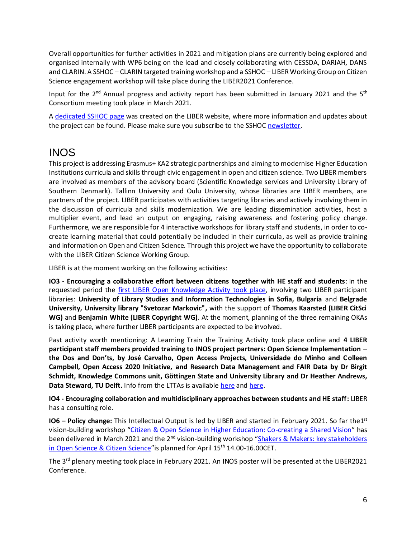Overall opportunities for further activities in 2021 and mitigation plans are currently being explored and organised internally with WP6 being on the lead and closely collaborating with CESSDA, DARIAH, DANS and CLARIN. A SSHOC – CLARIN targeted training workshop and a SSHOC – LIBER Working Group on Citizen Science engagement workshop will take place during the LIBER2021 Conference.

Input for the 2<sup>nd</sup> Annual progress and activity report has been submitted in January 2021 and the 5<sup>th</sup> Consortium meeting took place in March 2021.

A [dedicated SSHOC](https://libereurope.eu/project/sshoc-an-open-cloud-for-social-sciences-and-humanities/) page was created on the LIBER website, where more information and updates about the project can be found. Please make sure you subscribe to the SSHO[C newsletter.](https://www.sshopencloud.eu/user/register)

#### INOS

This project is addressing Erasmus+ KA2 strategic partnerships and aiming to modernise Higher Education Institutions curricula and skills through civic engagement in open and citizen science. Two LIBER members are involved as members of the advisory board (Scientific Knowledge services and University Library of Southern Denmark). Tallinn University and Oulu University, whose libraries are LIBER members, are partners of the project. LIBER participates with activities targeting libraries and actively involving them in the discussion of curricula and skills modernization. We are leading dissemination activities, host a multiplier event, and lead an output on engaging, raising awareness and fostering policy change. Furthermore, we are responsible for 4 interactive workshops for library staff and students, in order to cocreate learning material that could potentially be included in their curricula, as well as provide training and information on Open and Citizen Science. Through this project we have the opportunity to collaborate with the LIBER Citizen Science Working Group.

LIBER is at the moment working on the following activities:

**IO3 - Encouraging a collaborative effort between citizens together with HE staff and students**: In the requested period the *first LIBER Open Knowledge Activity took place*, involving two LIBER participant libraries: **University of Library Studies and Information Technologies in Sofia, Bulgaria** and **Belgrade University, University library "Svetozar Markovic",** with the support of **Thomas Kaarsted (LIBER CitSci WG)** and **Benjamin White (LIBER Copyright WG)**. At the moment, planning of the three remaining OKAs is taking place, where further LIBER participants are expected to be involved.

Past activity worth mentioning: A Learning Train the Training Activity took place online and **4 LIBER participant staff members provided training to INOS project partners: Open Science Implementation – the Dos and Don'ts, by José Carvalho, Open Access Projects, Universidade do Minho and Colleen Campbell, Open Access 2020 Initiative, and Research Data Management and FAIR Data by Dr Birgit Schmidt, Knowledge Commons unit, Göttingen State and University Library and Dr Heather Andrews, Data Steward, TU Delft.** Info from the LTTAs is available [here](https://zenodo.org/record/3934194#.X3yClmgzY2w) an[d here.](https://zenodo.org/record/3934172#.X3yCumgzY2w)

**IO4 - Encouraging collaboration and multidisciplinary approaches between students and HE staff:** LIBER has a consulting role.

**IO6 - Policy change:** This Intellectual Output is led by LIBER and started in February 2021. So far the1<sup>st</sup> vision-building workshop "[Citizen & Open Science in Higher Education: Co-creating a Shared Vision](https://inos-project.eu/2021/03/01/citizen-open-science-in-higher-education-co-creating-a-shared-vision/)" has been delivered in March 2021 and the 2<sup>nd</sup> vision-building workshop "Shakers & Makers: key stakeholders [in Open Science & Citizen Science](https://inos-project.eu/2021/03/18/shakers-makers-key-stakeholders-in-open-science-citizen-science/)" is planned for April 15<sup>th</sup> 14.00-16.00CET.

The 3<sup>rd</sup> plenary meeting took place in February 2021. An INOS poster will be presented at the LIBER2021 Conference.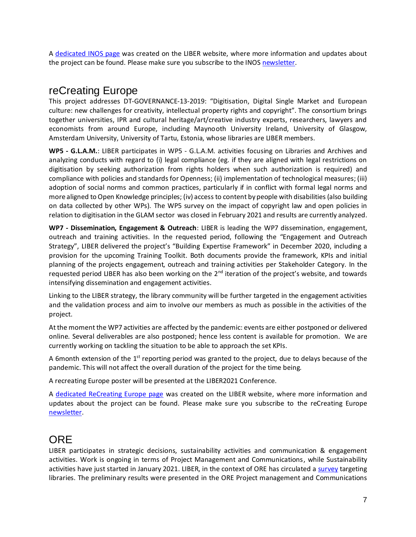A [dedicated INOS page](https://libereurope.eu/project/inos/) was created on the LIBER website, where more information and updates about the project can be found. Please make sure you subscribe to the INO[S newsletter.](https://kb.us4.list-manage.com/subscribe?u=a9448f202e162ce85362e0994&id=9ba2722a5f)

#### reCreating Europe

This project addresses DT-GOVERNANCE-13-2019: "Digitisation, Digital Single Market and European culture: new challenges for creativity, intellectual property rights and copyright". The consortium brings together universities, IPR and cultural heritage/art/creative industry experts, researchers, lawyers and economists from around Europe, including Maynooth University Ireland, University of Glasgow, Amsterdam University, University of Tartu, Estonia, whose libraries are LIBER members.

**WP5 - G.L.A.M.**: LIBER participates in WP5 - G.L.A.M. activities focusing on Libraries and Archives and analyzing conducts with regard to (i) legal compliance (eg. if they are aligned with legal restrictions on digitisation by seeking authorization from rights holders when such authorization is required) and compliance with policies and standards for Openness; (ii) implementation of technological measures; (iii) adoption of social norms and common practices, particularly if in conflict with formal legal norms and more aligned to Open Knowledge principles; (iv) access to content by people with disabilities (also building on data collected by other WPs). The WP5 survey on the impact of copyright law and open policies in relation to digitisation in the GLAM sector was closed in February 2021 and results are currently analyzed.

**WP7 - Dissemination, Engagement & Outreach**: LIBER is leading the WP7 dissemination, engagement, outreach and training activities. In the requested period, following the "Engagement and Outreach Strategy", LIBER delivered the project's "Building Expertise Framework" in December 2020, including a provision for the upcoming Training Toolkit. Both documents provide the framework, KPIs and initial planning of the projects engagement, outreach and training activities per Stakeholder Category. In the requested period LIBER has also been working on the  $2<sup>nd</sup>$  iteration of the project's website, and towards intensifying dissemination and engagement activities.

Linking to the LIBER strategy, the library community will be further targeted in the engagement activities and the validation process and aim to involve our members as much as possible in the activities of the project.

At the moment the WP7 activities are affected by the pandemic: events are either postponed or delivered online. Several deliverables are also postponed; hence less content is available for promotion. We are currently working on tackling the situation to be able to approach the set KPIs.

A 6month extension of the  $1<sup>st</sup>$  reporting period was granted to the project, due to delays because of the pandemic. This will not affect the overall duration of the project for the time being.

A recreating Europe poster will be presented at the LIBER2021 Conference.

A [dedicated ReCreating Europe page](https://libereurope.eu/project/recreating-europe-rethinking-digital-copyright-law-for-a-culturally-diverse-accessible-creative-europe/) was created on the LIBER website, where more information and updates about the project can be found. Please make sure you subscribe to the reCreating Europe [newsletter.](https://www.recreating.eu/newsletter-recreating-europe/)

#### **ORE**

LIBER participates in strategic decisions, sustainability activities and communication & engagement activities. Work is ongoing in terms of Project Management and Communications, while Sustainability activities have just started in January 2021. LIBER, in the context of ORE has circulated [a survey](https://libereurope.eu/blog/2020/09/09/survey-on-open-research-in-europe-have-you-voiced-your-opinion-yet/) targeting libraries. The preliminary results were presented in the ORE Project management and Communications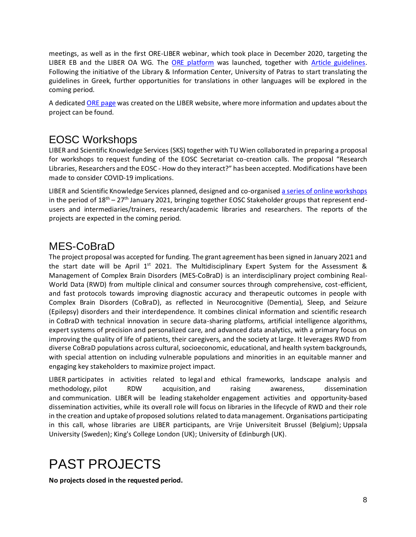meetings, as well as in the first ORE-LIBER webinar, which took place in December 2020, targeting the LIBER EB and the LIBER OA WG. The [ORE platform](https://open-research-europe.ec.europa.eu/for-authors/publish-your-research) was launched, together with [Article guidelines.](https://open-research-europe.ec.europa.eu/for-authors/article-guidelines) Following the initiative of the Library & Information Center, University of Patras to start translating the guidelines in Greek, further opportunities for translations in other languages will be explored in the coming period.

A dedicate[d ORE page](https://libereurope.eu/project/open-research-europe-ore/) was created on the LIBER website, where more information and updates about the project can be found.

#### EOSC Workshops

LIBER and Scientific Knowledge Services (SKS) together with TU Wien collaborated in preparing a proposal for workshops to request funding of the EOSC Secretariat co-creation calls. The proposal "Research Libraries, Researchers and the EOSC - How do they interact?" has been accepted. Modifications have been made to consider COVID-19 implications.

[LIBER](https://libereurope.eu/) and [Scientific Knowledge Services](https://www.knowledge.services/) planned, designed and co-organised a series of [online workshops](https://libereurope.eu/article/upcoming-workshops-on-the-interaction-between-research-libraries-researchers-and-the-eosc/) in the period of  $18<sup>th</sup> - 27<sup>th</sup>$  January 2021, bringing together EOSC Stakeholder groups that represent endusers and intermediaries/trainers, research/academic libraries and researchers. The reports of the projects are expected in the coming period.

#### MES-CoBraD

The project proposal was accepted for funding. The grant agreement has been signed in January 2021 and the start date will be April  $1<sup>st</sup>$  2021. The Multidisciplinary Expert System for the Assessment & Management of Complex Brain Disorders (MES-CoBraD) is an interdisciplinary project combining Real-World Data (RWD) from multiple clinical and consumer sources through comprehensive, cost-efficient, and fast protocols towards improving diagnostic accuracy and therapeutic outcomes in people with Complex Brain Disorders (CoBraD), as reflected in Neurocognitive (Dementia), Sleep, and Seizure (Epilepsy) disorders and their interdependence. It combines clinical information and scientific research in CoBraD with technical innovation in secure data-sharing platforms, artificial intelligence algorithms, expert systems of precision and personalized care, and advanced data analytics, with a primary focus on improving the quality of life of patients, their caregivers, and the society at large. It leverages RWD from diverse CoBraD populations across cultural, socioeconomic, educational, and health system backgrounds, with special attention on including vulnerable populations and minorities in an equitable manner and engaging key stakeholders to maximize project impact.

LIBER participates in activities related to legal and ethical frameworks, landscape analysis and methodology, pilot RDW acquisition, and raising awareness, dissemination and communication.LIBER will be leading stakeholder engagement activities and opportunity-based dissemination activities, while its overall role will focus on libraries in the lifecycle of RWD and their role in the creation and uptake of proposed solutions related to data management. Organisations participating in this call, whose libraries are LIBER participants, are Vrije Universiteit Brussel (Belgium); Uppsala University (Sweden); King's College London (UK); University of Edinburgh (UK).

## PAST PROJECTS

**No projects closed in the requested period.**